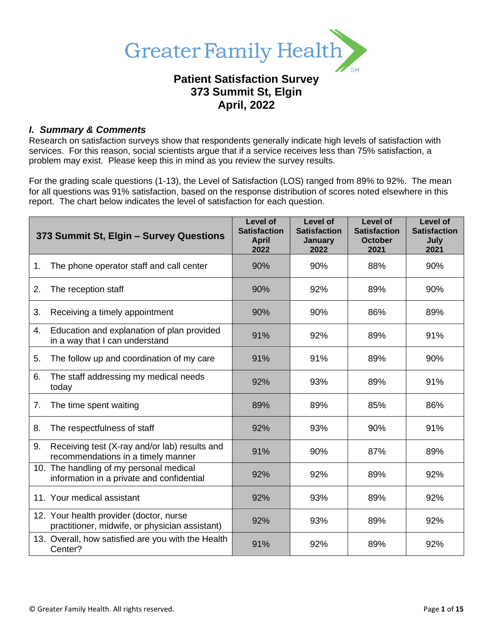

## **Patient Satisfaction Survey 373 Summit St, Elgin April, 2022**

### *I. Summary & Comments*

Research on satisfaction surveys show that respondents generally indicate high levels of satisfaction with services. For this reason, social scientists argue that if a service receives less than 75% satisfaction, a problem may exist. Please keep this in mind as you review the survey results.

For the grading scale questions (1-13), the Level of Satisfaction (LOS) ranged from 89% to 92%. The mean for all questions was 91% satisfaction, based on the response distribution of scores noted elsewhere in this report. The chart below indicates the level of satisfaction for each question.

|    | 373 Summit St, Elgin - Survey Questions                                                   | Level of<br><b>Satisfaction</b><br><b>April</b><br>2022 | Level of<br><b>Satisfaction</b><br>January<br>2022 | <b>Level of</b><br><b>Satisfaction</b><br><b>October</b><br>2021 | <b>Level of</b><br><b>Satisfaction</b><br>July<br>2021 |
|----|-------------------------------------------------------------------------------------------|---------------------------------------------------------|----------------------------------------------------|------------------------------------------------------------------|--------------------------------------------------------|
| 1. | The phone operator staff and call center                                                  | 90%                                                     | 90%                                                | 88%                                                              | 90%                                                    |
| 2. | The reception staff                                                                       | 90%                                                     | 92%                                                | 89%                                                              | 90%                                                    |
| 3. | Receiving a timely appointment                                                            | 90%                                                     | 90%                                                | 86%                                                              | 89%                                                    |
| 4. | Education and explanation of plan provided<br>in a way that I can understand              | 91%                                                     | 92%                                                | 89%                                                              | 91%                                                    |
| 5. | The follow up and coordination of my care                                                 | 91%                                                     | 91%                                                | 89%                                                              | 90%                                                    |
| 6. | The staff addressing my medical needs<br>today                                            | 92%                                                     | 93%                                                | 89%                                                              | 91%                                                    |
| 7. | The time spent waiting                                                                    | 89%                                                     | 89%                                                | 85%                                                              | 86%                                                    |
| 8. | The respectfulness of staff                                                               | 92%                                                     | 93%                                                | 90%                                                              | 91%                                                    |
| 9. | Receiving test (X-ray and/or lab) results and<br>recommendations in a timely manner       | 91%                                                     | 90%                                                | 87%                                                              | 89%                                                    |
|    | 10. The handling of my personal medical<br>information in a private and confidential      | 92%                                                     | 92%                                                | 89%                                                              | 92%                                                    |
|    | 11. Your medical assistant                                                                | 92%                                                     | 93%                                                | 89%                                                              | 92%                                                    |
|    | 12. Your health provider (doctor, nurse<br>practitioner, midwife, or physician assistant) | 92%                                                     | 93%                                                | 89%                                                              | 92%                                                    |
|    | 13. Overall, how satisfied are you with the Health<br>Center?                             | 91%                                                     | 92%                                                | 89%                                                              | 92%                                                    |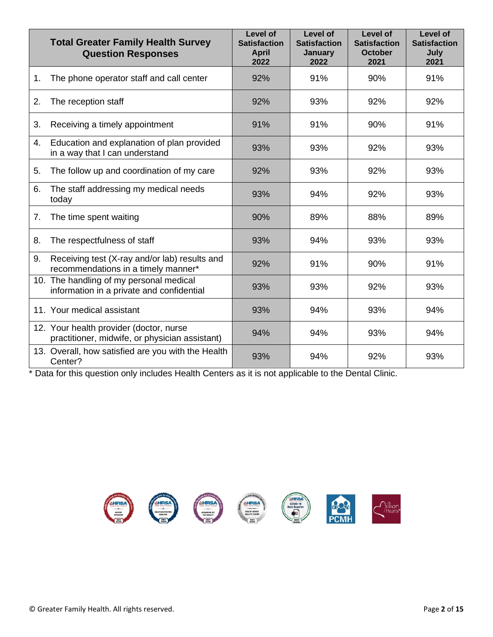|    | <b>Total Greater Family Health Survey</b><br><b>Question Responses</b>                    | Level of<br><b>Satisfaction</b><br><b>April</b><br>2022 | Level of<br><b>Satisfaction</b><br><b>January</b><br>2022 | Level of<br><b>Satisfaction</b><br><b>October</b><br>2021 | Level of<br><b>Satisfaction</b><br>July<br>2021 |
|----|-------------------------------------------------------------------------------------------|---------------------------------------------------------|-----------------------------------------------------------|-----------------------------------------------------------|-------------------------------------------------|
| 1. | The phone operator staff and call center                                                  | 92%                                                     | 91%                                                       | 90%                                                       | 91%                                             |
| 2. | The reception staff                                                                       | 92%                                                     | 93%                                                       | 92%                                                       | 92%                                             |
| 3. | Receiving a timely appointment                                                            | 91%                                                     | 91%                                                       | 90%                                                       | 91%                                             |
| 4. | Education and explanation of plan provided<br>in a way that I can understand              | 93%                                                     | 93%                                                       | 92%                                                       | 93%                                             |
| 5. | The follow up and coordination of my care                                                 | 92%                                                     | 93%                                                       | 92%                                                       | 93%                                             |
| 6. | The staff addressing my medical needs<br>today                                            | 93%                                                     | 94%                                                       | 92%                                                       | 93%                                             |
| 7. | The time spent waiting                                                                    | 90%                                                     | 89%                                                       | 88%                                                       | 89%                                             |
| 8. | The respectfulness of staff                                                               | 93%                                                     | 94%                                                       | 93%                                                       | 93%                                             |
| 9. | Receiving test (X-ray and/or lab) results and<br>recommendations in a timely manner*      | 92%                                                     | 91%                                                       | 90%                                                       | 91%                                             |
|    | 10. The handling of my personal medical<br>information in a private and confidential      | 93%                                                     | 93%                                                       | 92%                                                       | 93%                                             |
|    | 11. Your medical assistant                                                                | 93%                                                     | 94%                                                       | 93%                                                       | 94%                                             |
|    | 12. Your health provider (doctor, nurse<br>practitioner, midwife, or physician assistant) | 94%                                                     | 94%                                                       | 93%                                                       | 94%                                             |
|    | 13. Overall, how satisfied are you with the Health<br>Center?                             | 93%                                                     | 94%                                                       | 92%                                                       | 93%                                             |

\* Data for this question only includes Health Centers as it is not applicable to the Dental Clinic.

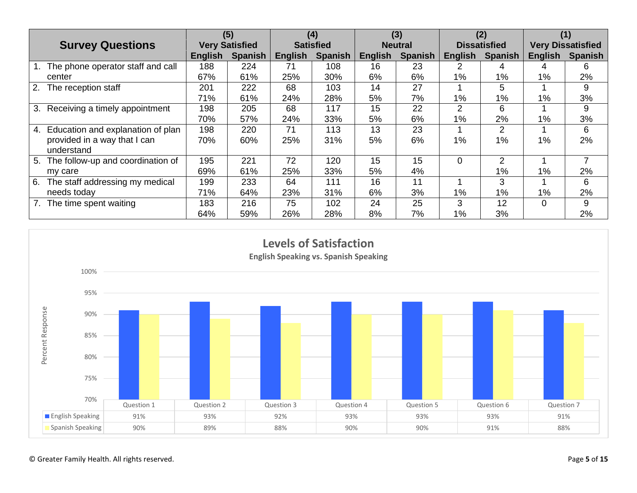|                                         | (5)                   |                | (4)              |                | (3)            |                | (2)                 |                | (1)                      |                |
|-----------------------------------------|-----------------------|----------------|------------------|----------------|----------------|----------------|---------------------|----------------|--------------------------|----------------|
| <b>Survey Questions</b>                 | <b>Very Satisfied</b> |                | <b>Satisfied</b> |                | <b>Neutral</b> |                | <b>Dissatisfied</b> |                | <b>Very Dissatisfied</b> |                |
|                                         | English               | <b>Spanish</b> | <b>English</b>   | <b>Spanish</b> | English        | <b>Spanish</b> | <b>English</b>      | <b>Spanish</b> | <b>English</b>           | <b>Spanish</b> |
| The phone operator staff and call       | 188                   | 224            | 71               | 108            | 16             | 23             | ⌒                   |                |                          | 6              |
| center                                  | 67%                   | 61%            | 25%              | 30%            | 6%             | 6%             | $1\%$               | 1%             | $1\%$                    | 2%             |
| 2.<br>The reception staff               | 201                   | 222            | 68               | 103            | 14             | 27             |                     | 5              |                          | 9              |
|                                         | 71%                   | 61%            | 24%              | 28%            | 5%             | 7%             | 1%                  | $1\%$          | $1\%$                    | 3%             |
| Receiving a timely appointment<br>3.    | 198                   | 205            | 68               | 117            | 15             | 22             | $\overline{2}$      | 6              |                          | 9              |
|                                         | 70%                   | 57%            | 24%              | 33%            | 5%             | 6%             | 1%                  | 2%             | 1%                       | 3%             |
| Education and explanation of plan<br>4. | 198                   | 220            | 71               | 113            | 13             | 23             |                     | 2              |                          | 6              |
| provided in a way that I can            | 70%                   | 60%            | 25%              | 31%            | 5%             | 6%             | 1%                  | 1%             | $1\%$                    | 2%             |
| understand                              |                       |                |                  |                |                |                |                     |                |                          |                |
| The follow-up and coordination of<br>5. | 195                   | 221            | 72               | 120            | 15             | 15             | $\Omega$            | 2              |                          |                |
| my care                                 | 69%                   | 61%            | 25%              | 33%            | 5%             | 4%             |                     | 1%             | 1%                       | 2%             |
| The staff addressing my medical<br>6.   | 199                   | 233            | 64               | 111            | 16             | 11             |                     | 3              |                          | 6              |
| needs today                             | 71%                   | 64%            | 23%              | 31%            | 6%             | 3%             | 1%                  | $1\%$          | $1\%$                    | 2%             |
| The time spent waiting                  | 183                   | 216            | 75               | 102            | 24             | 25             | 3                   | 12             | $\Omega$                 | 9              |
|                                         | 64%                   | 59%            | 26%              | 28%            | 8%             | 7%             | 1%                  | 3%             |                          | 2%             |

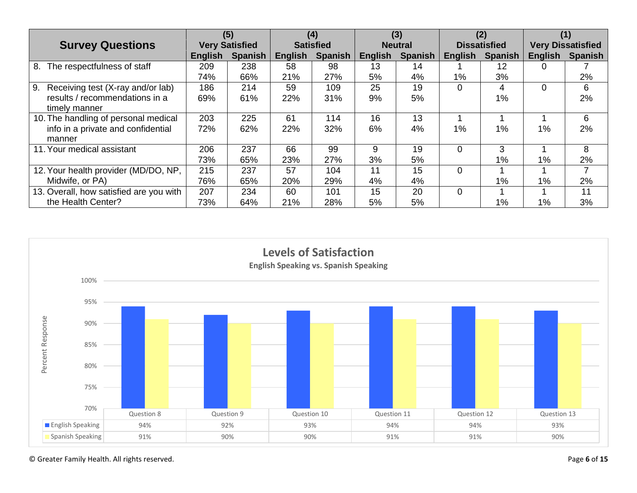|                                         | (5)                   |                | (4)              |                | (3)            |                | (2)                 |                | (1)                      |                |
|-----------------------------------------|-----------------------|----------------|------------------|----------------|----------------|----------------|---------------------|----------------|--------------------------|----------------|
| <b>Survey Questions</b>                 | <b>Very Satisfied</b> |                | <b>Satisfied</b> |                | <b>Neutral</b> |                | <b>Dissatisfied</b> |                | <b>Very Dissatisfied</b> |                |
|                                         | English               | <b>Spanish</b> | <b>English</b>   | <b>Spanish</b> | English        | <b>Spanish</b> | <b>English</b>      | <b>Spanish</b> | <b>English</b>           | <b>Spanish</b> |
| The respectfulness of staff<br>8.       | 209                   | 238            | 58               | 98             | 13             | 14             |                     | 12             | 0                        |                |
|                                         | 74%                   | 66%            | 21%              | 27%            | 5%             | 4%             | 1%                  | 3%             |                          | 2%             |
| 9.<br>Receiving test (X-ray and/or lab) | 186                   | 214            | 59               | 109            | 25             | 19             | $\Omega$            | 4              | 0                        | 6              |
| results / recommendations in a          | 69%                   | 61%            | 22%              | 31%            | 9%             | 5%             |                     | 1%             |                          | 2%             |
| timely manner                           |                       |                |                  |                |                |                |                     |                |                          |                |
| 10. The handling of personal medical    | 203                   | 225            | 61               | 114            | 16             | 13             |                     |                |                          | 6              |
| info in a private and confidential      | 72%                   | 62%            | 22%              | 32%            | 6%             | 4%             | 1%                  | 1%             | 1%                       | 2%             |
| manner                                  |                       |                |                  |                |                |                |                     |                |                          |                |
| 11. Your medical assistant              | 206                   | 237            | 66               | 99             | 9              | 19             | $\Omega$            | 3              |                          | 8              |
|                                         | 73%                   | 65%            | 23%              | 27%            | 3%             | 5%             |                     | $1\%$          | 1%                       | 2%             |
| 12. Your health provider (MD/DO, NP,    | 215                   | 237            | 57               | 104            | 11             | 15             | $\Omega$            |                |                          |                |
| Midwife, or PA)                         | 76%                   | 65%            | 20%              | 29%            | 4%             | 4%             |                     | 1%             | $1\%$                    | 2%             |
| 13. Overall, how satisfied are you with | 207                   | 234            | 60               | 101            | 15             | 20             | $\Omega$            |                |                          | 11             |
| the Health Center?                      | 73%                   | 64%            | 21%              | 28%            | 5%             | 5%             |                     | $1\%$          | $1\%$                    | 3%             |

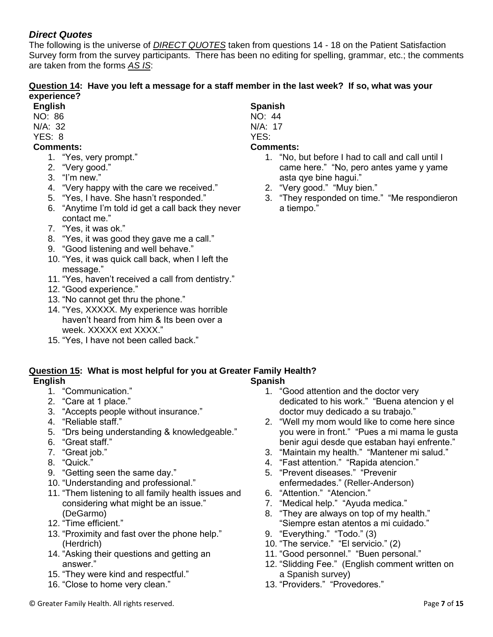### *Direct Quotes*

The following is the universe of *DIRECT QUOTES* taken from questions 14 - 18 on the Patient Satisfaction Survey form from the survey participants. There has been no editing for spelling, grammar, etc.; the comments are taken from the forms *AS IS*:

### **Question 14: Have you left a message for a staff member in the last week? If so, what was your experience?**

- **English**
- NO: 86
- N/A: 32

# YES: 8

- **Comments:**
	- 1. "Yes, very prompt."
	- 2. "Very good."
	- 3. "I'm new."
	- 4. "Very happy with the care we received."
	- 5. "Yes, I have. She hasn't responded."
	- 6. "Anytime I'm told id get a call back they never contact me."
	- 7. "Yes, it was ok."
	- 8. "Yes, it was good they gave me a call."
	- 9. "Good listening and well behave."
	- 10. "Yes, it was quick call back, when I left the message."
	- 11. "Yes, haven't received a call from dentistry."
	- 12. "Good experience."
	- 13. "No cannot get thru the phone."
	- 14. "Yes, XXXXX. My experience was horrible haven't heard from him & Its been over a week. XXXXX ext XXXX."
	- 15. "Yes, I have not been called back."

### **Spanish** NO: 44

- N/A: 17
- YES:

### **Comments:**

- 1. "No, but before I had to call and call until I came here." "No, pero antes yame y yame asta qye bine hagui."
- 2. "Very good." "Muy bien."
- 3. "They responded on time." "Me respondieron a tiempo."

#### **Question 15: What is most helpful for you at Greater Family Health? English Spanish**

- 1. "Communication."
- 2. "Care at 1 place."
- 3. "Accepts people without insurance."
- 4. "Reliable staff."
- 5. "Drs being understanding & knowledgeable."
- 6. "Great staff."
- 7. "Great job."
- 8. "Quick."
- 9. "Getting seen the same day."
- 10. "Understanding and professional."
- 11. "Them listening to all family health issues and considering what might be an issue." (DeGarmo)
- 12. "Time efficient."
- 13. "Proximity and fast over the phone help." (Herdrich)
- 14. "Asking their questions and getting an answer."
- 15. "They were kind and respectful."
- 16. "Close to home very clean."
- 1. "Good attention and the doctor very dedicated to his work." "Buena atencion y el doctor muy dedicado a su trabajo."
- 2. "Well my mom would like to come here since you were in front." "Pues a mi mama le gusta benir agui desde que estaban hayi enfrente."
- 3. "Maintain my health." "Mantener mi salud."
- 4. "Fast attention." "Rapida atencion."
- 5. "Prevent diseases." "Prevenir enfermedades." (Reller-Anderson)
- 6. "Attention." "Atencion."
- 7. "Medical help." "Ayuda medica."
- 8. "They are always on top of my health." "Siempre estan atentos a mi cuidado."
- 9. "Everything." "Todo." (3)
- 10. "The service." "El servicio." (2)
- 11. "Good personnel." "Buen personal."
- 12. "Slidding Fee." (English comment written on a Spanish survey)
- 13. "Providers." "Provedores."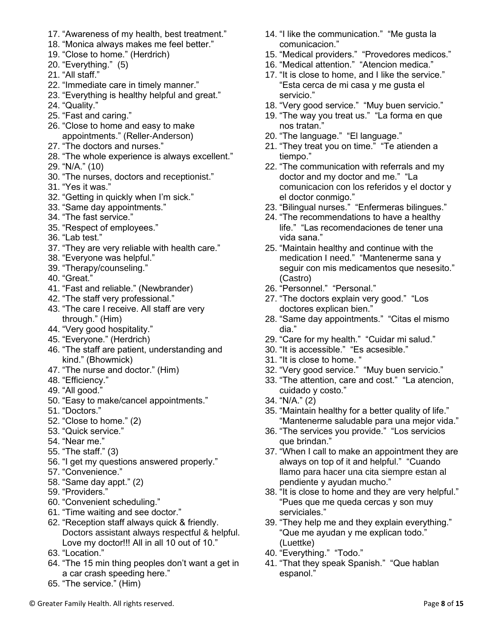- 17. "Awareness of my health, best treatment."
- 18. "Monica always makes me feel better."
- 19. "Close to home." (Herdrich)
- 20. "Everything." (5)
- 21. "All staff."
- 22. "Immediate care in timely manner."
- 23. "Everything is healthy helpful and great."
- 24. "Quality."
- 25. "Fast and caring."
- 26. "Close to home and easy to make appointments." (Reller-Anderson)
- 27. "The doctors and nurses."
- 28. "The whole experience is always excellent."
- 29. "N/A." (10)
- 30. "The nurses, doctors and receptionist."
- 31. "Yes it was."
- 32. "Getting in quickly when I'm sick."
- 33. "Same day appointments."
- 34. "The fast service."
- 35. "Respect of employees."
- 36. "Lab test."
- 37. "They are very reliable with health care."
- 38. "Everyone was helpful."
- 39. "Therapy/counseling."
- 40. "Great."
- 41. "Fast and reliable." (Newbrander)
- 42. "The staff very professional."
- 43. "The care I receive. All staff are very through." (Him)
- 44. "Very good hospitality."
- 45. "Everyone." (Herdrich)
- 46. "The staff are patient, understanding and kind." (Bhowmick)
- 47. "The nurse and doctor." (Him)
- 48. "Efficiency."
- 49. "All good."
- 50. "Easy to make/cancel appointments."
- 51. "Doctors."
- 52. "Close to home." (2)
- 53. "Quick service."
- 54. "Near me."
- 55. "The staff." (3)
- 56. "I get my questions answered properly."
- 57. "Convenience."
- 58. "Same day appt." (2)
- 59. "Providers."
- 60. "Convenient scheduling."
- 61. "Time waiting and see doctor."
- 62. "Reception staff always quick & friendly. Doctors assistant always respectful & helpful. Love my doctor!!! All in all 10 out of 10."
- 63. "Location."
- 64. "The 15 min thing peoples don't want a get in a car crash speeding here."
- 65. "The service." (Him)
- 14. "I like the communication." "Me gusta la comunicacion."
- 15. "Medical providers." "Provedores medicos."
- 16. "Medical attention." "Atencion medica."
- 17. "It is close to home, and I like the service." "Esta cerca de mi casa y me gusta el servicio."
- 18. "Very good service." "Muy buen servicio."
- 19. "The way you treat us." "La forma en que nos tratan."
- 20. "The language." "El language."
- 21. "They treat you on time." "Te atienden a tiempo."
- 22. "The communication with referrals and my doctor and my doctor and me." "La comunicacion con los referidos y el doctor y el doctor conmigo."
- 23. "Bilingual nurses." "Enfermeras bilingues."
- 24. "The recommendations to have a healthy life." "Las recomendaciones de tener una vida sana."
- 25. "Maintain healthy and continue with the medication I need." "Mantenerme sana y seguir con mis medicamentos que nesesito." (Castro)
- 26. "Personnel." "Personal."
- 27. "The doctors explain very good." "Los doctores explican bien."
- 28. "Same day appointments." "Citas el mismo dia."
- 29. "Care for my health." "Cuidar mi salud."
- 30. "It is accessible." "Es acsesible."
- 31. "It is close to home. "
- 32. "Very good service." "Muy buen servicio."
- 33. "The attention, care and cost." "La atencion, cuidado y costo."
- 34. "N/A." (2)
- 35. "Maintain healthy for a better quality of life." "Mantenerme saludable para una mejor vida."
- 36. "The services you provide." "Los servicios que brindan."
- 37. "When I call to make an appointment they are always on top of it and helpful." "Cuando llamo para hacer una cita siempre estan al pendiente y ayudan mucho."
- 38. "It is close to home and they are very helpful." "Pues que me queda cercas y son muy serviciales."
- 39. "They help me and they explain everything." "Que me ayudan y me explican todo." (Luettke)
- 40. "Everything." "Todo."
- 41. "That they speak Spanish." "Que hablan espanol."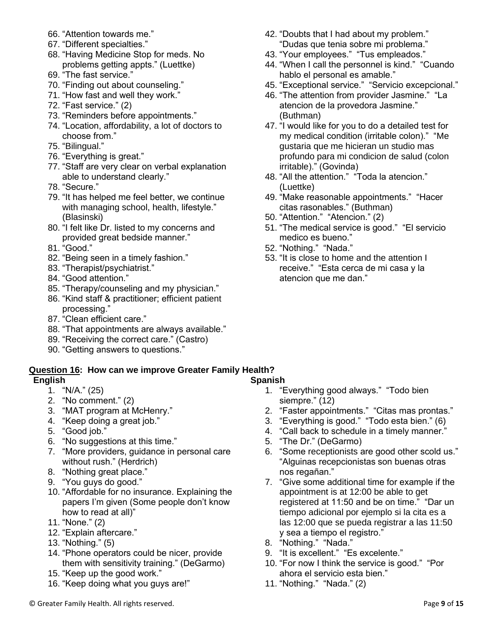- 66. "Attention towards me."
- 67. "Different specialties."
- 68. "Having Medicine Stop for meds. No problems getting appts." (Luettke)
- 69. "The fast service."
- 70. "Finding out about counseling."
- 71. "How fast and well they work."
- 72. "Fast service." (2)
- 73. "Reminders before appointments."
- 74. "Location, affordability, a lot of doctors to choose from."
- 75. "Bilingual."
- 76. "Everything is great."
- 77. "Staff are very clear on verbal explanation able to understand clearly."
- 78. "Secure."
- 79. "It has helped me feel better, we continue with managing school, health, lifestyle." (Blasinski)
- 80. "I felt like Dr. listed to my concerns and provided great bedside manner."
- 81. "Good."
- 82. "Being seen in a timely fashion."
- 83. "Therapist/psychiatrist."
- 84. "Good attention."
- 85. "Therapy/counseling and my physician."
- 86. "Kind staff & practitioner; efficient patient processing."
- 87. "Clean efficient care."
- 88. "That appointments are always available."
- 89. "Receiving the correct care." (Castro)
- 90. "Getting answers to questions."

#### **Question 16: How can we improve Greater Family Health? English Spanish**

- 1. "N/A." (25)
- 2. "No comment." (2)
- 3. "MAT program at McHenry."
- 4. "Keep doing a great job."
- 5. "Good job."
- 6. "No suggestions at this time."
- 7. "More providers, guidance in personal care without rush." (Herdrich)
- 8. "Nothing great place."
- 9. "You guys do good."
- 10. "Affordable for no insurance. Explaining the papers I'm given (Some people don't know how to read at all)"
- 11. "None." (2)
- 12. "Explain aftercare."
- 13. "Nothing." (5)
- 14. "Phone operators could be nicer, provide them with sensitivity training." (DeGarmo)
- 15. "Keep up the good work."
- 16. "Keep doing what you guys are!"
- 42. "Doubts that I had about my problem." "Dudas que tenia sobre mi problema."
- 43. "Your employees." "Tus empleados."
- 44. "When I call the personnel is kind." "Cuando hablo el personal es amable."
- 45. "Exceptional service." "Servicio excepcional."
- 46. "The attention from provider Jasmine." "La atencion de la provedora Jasmine." (Buthman)
- 47. "I would like for you to do a detailed test for my medical condition (irritable colon)." "Me gustaria que me hicieran un studio mas profundo para mi condicion de salud (colon irritable)." (Govinda)
- 48. "All the attention." "Toda la atencion." (Luettke)
- 49. "Make reasonable appointments." "Hacer citas rasonables." (Buthman)
- 50. "Attention." "Atencion." (2)
- 51. "The medical service is good." "El servicio medico es bueno."
- 52. "Nothing." "Nada."
- 53. "It is close to home and the attention I receive." "Esta cerca de mi casa y la atencion que me dan."

- 1. "Everything good always." "Todo bien siempre." (12)
- 2. "Faster appointments." "Citas mas prontas."
- 3. "Everything is good." "Todo esta bien." (6)
- 4. "Call back to schedule in a timely manner."
- 5. "The Dr." (DeGarmo)
- 6. "Some receptionists are good other scold us." "Alguinas recepcionistas son buenas otras nos regañan."
- 7. "Give some additional time for example if the appointment is at 12:00 be able to get registered at 11:50 and be on time." "Dar un tiempo adicional por ejemplo si la cita es a las 12:00 que se pueda registrar a las 11:50 y sea a tiempo el registro."
- 8. "Nothing." "Nada."
- 9. "It is excellent." "Es excelente."
- 10. "For now I think the service is good." "Por ahora el servicio esta bien."
- 11. "Nothing." "Nada." (2)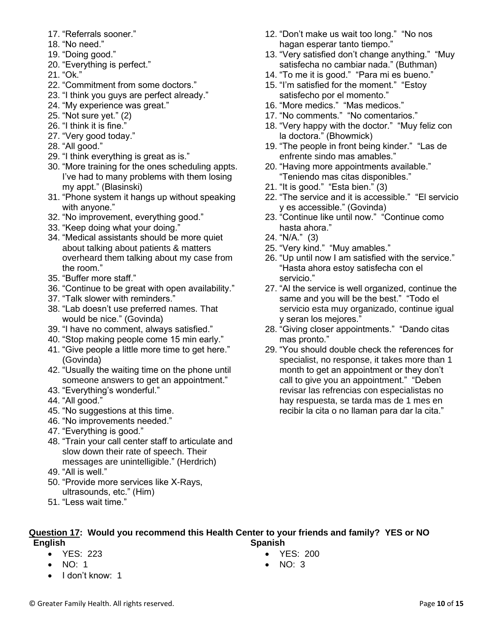- 17. "Referrals sooner."
- 18. "No need."
- 19. "Doing good."
- 20. "Everything is perfect."
- 21. "Ok."
- 22. "Commitment from some doctors."
- 23. "I think you guys are perfect already."
- 24. "My experience was great."
- 25. "Not sure yet." (2)
- 26. "I think it is fine."
- 27. "Very good today."
- 28. "All good."
- 29. "I think everything is great as is."
- 30. "More training for the ones scheduling appts. I've had to many problems with them losing my appt." (Blasinski)
- 31. "Phone system it hangs up without speaking with anyone."
- 32. "No improvement, everything good."
- 33. "Keep doing what your doing."
- 34. "Medical assistants should be more quiet about talking about patients & matters overheard them talking about my case from the room."
- 35. "Buffer more staff."
- 36. "Continue to be great with open availability."
- 37. "Talk slower with reminders."
- 38. "Lab doesn't use preferred names. That would be nice." (Govinda)
- 39. "I have no comment, always satisfied."
- 40. "Stop making people come 15 min early."
- 41. "Give people a little more time to get here." (Govinda)
- 42. "Usually the waiting time on the phone until someone answers to get an appointment."
- 43. "Everything's wonderful."
- 44. "All good."
- 45. "No suggestions at this time.
- 46. "No improvements needed."
- 47. "Everything is good."
- 48. "Train your call center staff to articulate and slow down their rate of speech. Their messages are unintelligible." (Herdrich)
- 49. "All is well."
- 50. "Provide more services like X-Rays, ultrasounds, etc." (Him)
- 51. "Less wait time."
- 12. "Don't make us wait too long." "No nos hagan esperar tanto tiempo."
- 13. "Very satisfied don't change anything." "Muy satisfecha no cambiar nada." (Buthman)
- 14. "To me it is good." "Para mi es bueno."
- 15. "I'm satisfied for the moment." "Estoy satisfecho por el momento."
- 16. "More medics." "Mas medicos."
- 17. "No comments." "No comentarios."
- 18. "Very happy with the doctor." "Muy feliz con la doctora." (Bhowmick)
- 19. "The people in front being kinder." "Las de enfrente sindo mas amables."
- 20. "Having more appointments available." "Teniendo mas citas disponibles."
- 21. "It is good." "Esta bien." (3)
- 22. "The service and it is accessible." "El servicio y es accessible." (Govinda)
- 23. "Continue like until now." "Continue como hasta ahora."
- 24. "N/A." (3)
- 25. "Very kind." "Muy amables."
- 26. "Up until now I am satisfied with the service." "Hasta ahora estoy satisfecha con el servicio."
- 27. "Al the service is well organized, continue the same and you will be the best." "Todo el servicio esta muy organizado, continue igual y seran los mejores."
- 28. "Giving closer appointments." "Dando citas mas pronto."
- 29. "You should double check the references for specialist, no response, it takes more than 1 month to get an appointment or they don't call to give you an appointment." "Deben revisar las refrencias con especialistas no hay respuesta, se tarda mas de 1 mes en recibir la cita o no llaman para dar la cita."

#### **Question 17: Would you recommend this Health Center to your friends and family? YES or NO English Spanish**

- YES: 223
- NO: 1
- I don't know: 1
- 
- YES: 200
- NO: 3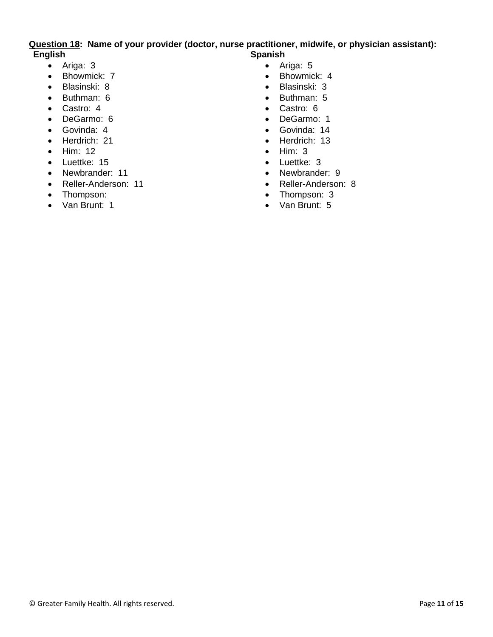#### **Question 18: Name of your provider (doctor, nurse practitioner, midwife, or physician assistant): English Spanish**

- Ariga: 3
- Bhowmick: 7
- Blasinski: 8
- Buthman: 6
- Castro: 4
- DeGarmo: 6
- Govinda: 4
- Herdrich: 21
- Him: 12
- Luettke: 15
- Newbrander: 11
- Reller-Anderson: 11
- Thompson:
- Van Brunt: 1
- Ariga: 5
- Bhowmick: 4
- Blasinski: 3
- Buthman: 5
- Castro: 6
- DeGarmo: 1
- Govinda: 14
- Herdrich: 13
- Him: 3
- Luettke: 3
- Newbrander: 9
- Reller-Anderson: 8
- Thompson: 3
- Van Brunt: 5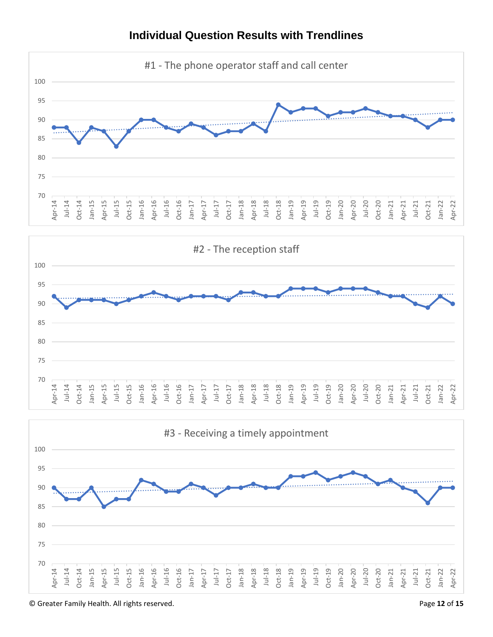

## **Individual Question Results with Trendlines**





© Greater Family Health. All rights reserved. Page **12** of **15**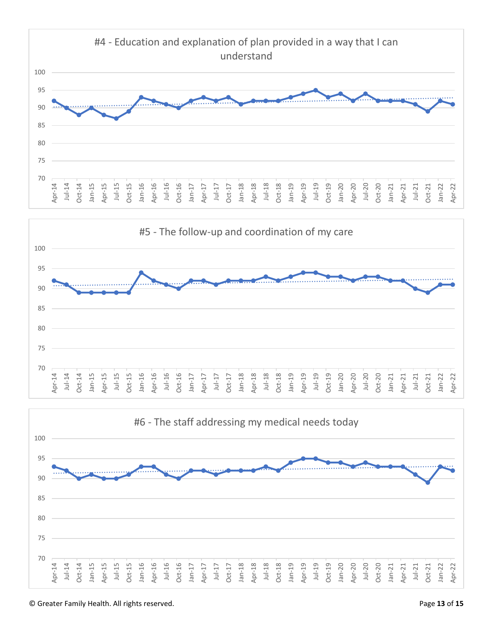



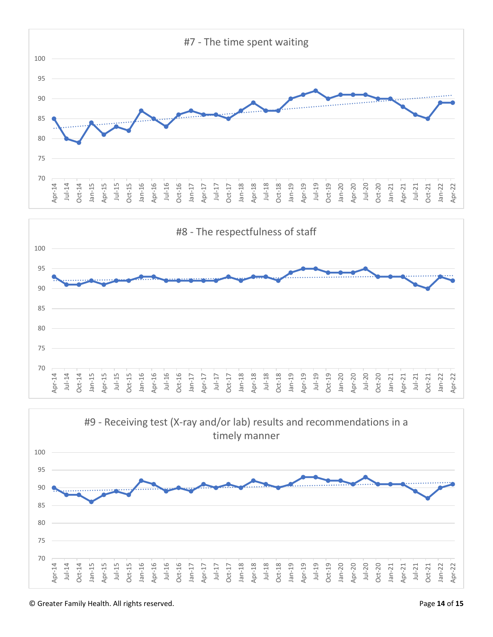